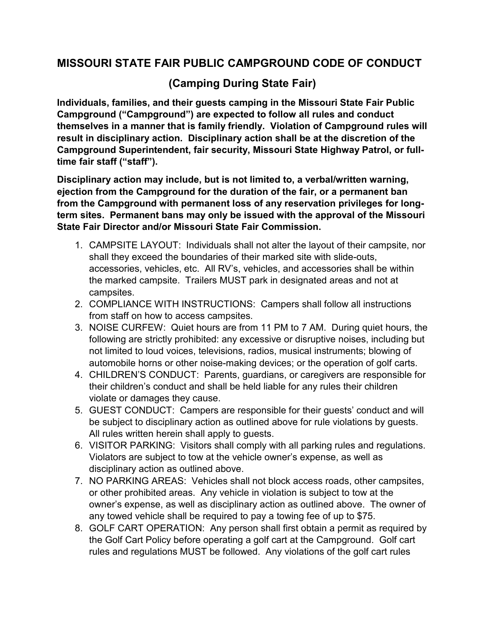## **MISSOURI STATE FAIR PUBLIC CAMPGROUND CODE OF CONDUCT**

## **(Camping During State Fair)**

**Individuals, families, and their guests camping in the Missouri State Fair Public Campground ("Campground") are expected to follow all rules and conduct themselves in a manner that is family friendly. Violation of Campground rules will result in disciplinary action. Disciplinary action shall be at the discretion of the Campground Superintendent, fair security, Missouri State Highway Patrol, or fulltime fair staff ("staff").** 

**Disciplinary action may include, but is not limited to, a verbal/written warning, ejection from the Campground for the duration of the fair, or a permanent ban from the Campground with permanent loss of any reservation privileges for longterm sites. Permanent bans may only be issued with the approval of the Missouri State Fair Director and/or Missouri State Fair Commission.**

- 1. CAMPSITE LAYOUT: Individuals shall not alter the layout of their campsite, nor shall they exceed the boundaries of their marked site with slide-outs, accessories, vehicles, etc. All RV's, vehicles, and accessories shall be within the marked campsite. Trailers MUST park in designated areas and not at campsites.
- 2. COMPLIANCE WITH INSTRUCTIONS: Campers shall follow all instructions from staff on how to access campsites.
- 3. NOISE CURFEW: Quiet hours are from 11 PM to 7 AM. During quiet hours, the following are strictly prohibited: any excessive or disruptive noises, including but not limited to loud voices, televisions, radios, musical instruments; blowing of automobile horns or other noise-making devices; or the operation of golf carts.
- 4. CHILDREN'S CONDUCT: Parents, guardians, or caregivers are responsible for their children's conduct and shall be held liable for any rules their children violate or damages they cause.
- 5. GUEST CONDUCT: Campers are responsible for their guests' conduct and will be subject to disciplinary action as outlined above for rule violations by guests. All rules written herein shall apply to guests.
- 6. VISITOR PARKING: Visitors shall comply with all parking rules and regulations. Violators are subject to tow at the vehicle owner's expense, as well as disciplinary action as outlined above.
- 7. NO PARKING AREAS: Vehicles shall not block access roads, other campsites, or other prohibited areas. Any vehicle in violation is subject to tow at the owner's expense, as well as disciplinary action as outlined above. The owner of any towed vehicle shall be required to pay a towing fee of up to \$75.
- 8. GOLF CART OPERATION: Any person shall first obtain a permit as required by the Golf Cart Policy before operating a golf cart at the Campground. Golf cart rules and regulations MUST be followed. Any violations of the golf cart rules